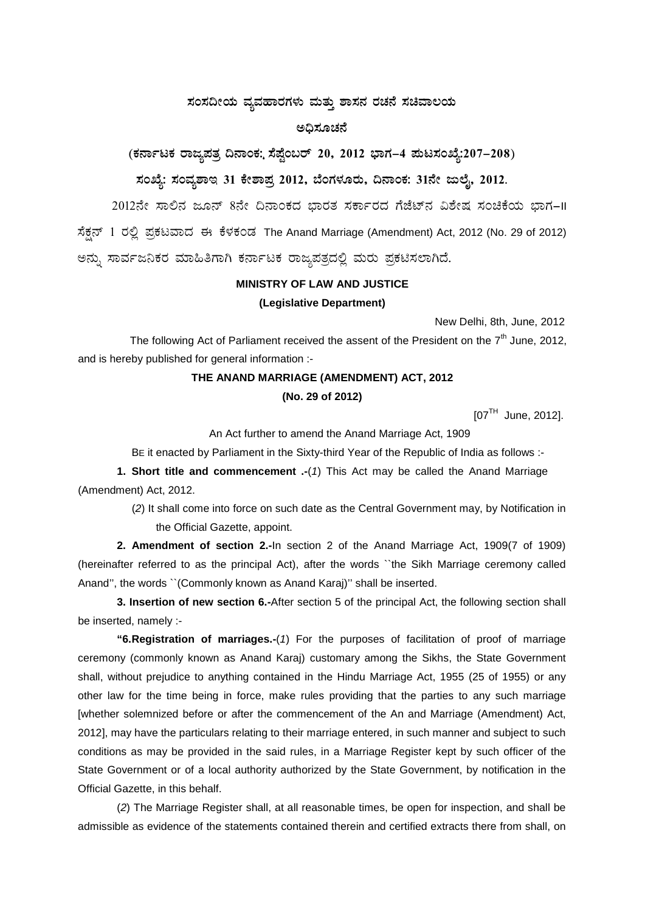# ಸಂಸದೀಯ ವ್ಯವಹಾರಗಳು ಮತ್ತು ಶಾಸನ ರಚನೆ ಸಚಿವಾಲಯ

### ಅದಿಸೂಚನೆ

(ಕರ್ನಾಟಕ ರಾಜ್ಯಪತ್ರ ದಿನಾಂಕ: ಸೆಪ್ಟೆಂಬರ್ 20, 2012 ಭಾಗ–4 ಮಟಸಂಖ್ಯೆ:207–208)

ಸಂಖ್ಯೆ: ಸಂವ್ನಶಾಇ 31 ಕೇಶಾಪ್ರ 2012, ಬೆಂಗಳೂರು, ದಿನಾಂಕ: 31ನೇ ಜುಲೈ, 2012.

2012ನೇ ಸಾಲಿನ ಜೂನ್ 8ನೇ ದಿನಾಂಕದ ಭಾರತ ಸರ್ಕಾರದ ಗೆಜೆಟ್ ನವಿಶೇಷ ಸಂಚಿಕೆಯ ಭಾಗ-II ಸೆಕ್ಷನ್ 1 ರಲ್ಲಿ ಪ್ರಕಟವಾದ ಈ ಕೆಳಕಂಡ The Anand Marriage (Amendment) Act, 2012 (No. 29 of 2012) ಅನ್ನು ಸಾರ್ವಜನಿಕರ ಮಾಹಿತಿಗಾಗಿ ಕರ್ನಾಟಕ ರಾಜ್ಯಪತ್ರದಲ್ಲಿ ಮರು ಪ್ರಕಟಿಸಲಾಗಿದೆ.

## MINISTRY OF LAW AND JUSTICE (Legislative Department)

New Delhi, 8th, June, 2012

The following Act of Parliament received the assent of the President on the 7<sup>th</sup> June. 2012. and is hereby published for general information :-

### THE ANAND MARRIAGE (AMENDMENT) ACT, 2012 (No. 29 of 2012)

 $[07<sup>TH</sup>]$  June, 2012].

An Act further to amend the Anand Marriage Act, 1909

BE it enacted by Parliament in the Sixty-third Year of the Republic of India as follows :-

1. Short title and commencement .- (1) This Act may be called the Anand Marriage (Amendment) Act, 2012.

> (2) It shall come into force on such date as the Central Government may, by Notification in the Official Gazette, appoint.

2. Amendment of section 2.-In section 2 of the Anand Marriage Act, 1909(7 of 1909) (hereinafter referred to as the principal Act), after the words "the Sikh Marriage ceremony called Anand", the words ``(Commonly known as Anand Karaj)" shall be inserted.

3. Insertion of new section 6.-After section 5 of the principal Act, the following section shall be inserted, namely :-

"6. Registration of marriages.-(1) For the purposes of facilitation of proof of marriage ceremony (commonly known as Anand Karaj) customary among the Sikhs, the State Government shall, without prejudice to anything contained in the Hindu Marriage Act, 1955 (25 of 1955) or any other law for the time being in force, make rules providing that the parties to any such marriage [whether solemnized before or after the commencement of the An and Marriage (Amendment) Act, 2012], may have the particulars relating to their marriage entered, in such manner and subject to such conditions as may be provided in the said rules, in a Marriage Register kept by such officer of the State Government or of a local authority authorized by the State Government, by notification in the Official Gazette, in this behalf.

(2) The Marriage Register shall, at all reasonable times, be open for inspection, and shall be admissible as evidence of the statements contained therein and certified extracts there from shall, on